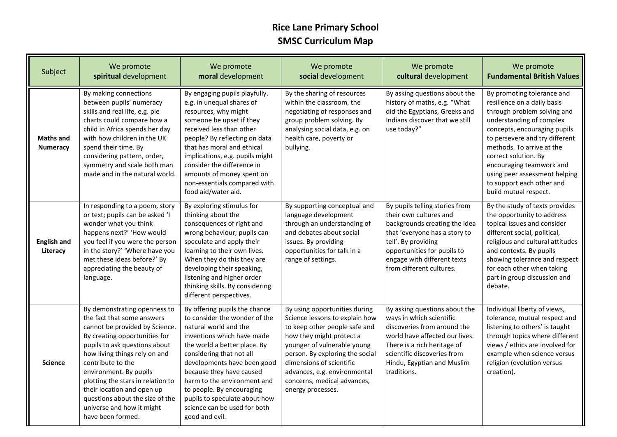## **Rice Lane Primary School SMSC Curriculum Map**

| Subject                             | We promote<br>spiritual development                                                                                                                                                                                                                                                                                                                                                                    | We promote<br>moral development                                                                                                                                                                                                                                                                                                                                                             | We promote<br>social development                                                                                                                                                                                                                                                                               | We promote<br>cultural development                                                                                                                                                                                                          | We promote<br><b>Fundamental British Values</b>                                                                                                                                                                                                                                                                                                                |
|-------------------------------------|--------------------------------------------------------------------------------------------------------------------------------------------------------------------------------------------------------------------------------------------------------------------------------------------------------------------------------------------------------------------------------------------------------|---------------------------------------------------------------------------------------------------------------------------------------------------------------------------------------------------------------------------------------------------------------------------------------------------------------------------------------------------------------------------------------------|----------------------------------------------------------------------------------------------------------------------------------------------------------------------------------------------------------------------------------------------------------------------------------------------------------------|---------------------------------------------------------------------------------------------------------------------------------------------------------------------------------------------------------------------------------------------|----------------------------------------------------------------------------------------------------------------------------------------------------------------------------------------------------------------------------------------------------------------------------------------------------------------------------------------------------------------|
| <b>Maths and</b><br><b>Numeracy</b> | By making connections<br>between pupils' numeracy<br>skills and real life, e.g. pie<br>charts could compare how a<br>child in Africa spends her day<br>with how children in the UK<br>spend their time. By<br>considering pattern, order,<br>symmetry and scale both man<br>made and in the natural world.                                                                                             | By engaging pupils playfully.<br>e.g. in unequal shares of<br>resources, why might<br>someone be upset if they<br>received less than other<br>people? By reflecting on data<br>that has moral and ethical<br>implications, e.g. pupils might<br>consider the difference in<br>amounts of money spent on<br>non-essentials compared with<br>food aid/water aid.                              | By the sharing of resources<br>within the classroom, the<br>negotiating of responses and<br>group problem solving. By<br>analysing social data, e.g. on<br>health care, poverty or<br>bullying.                                                                                                                | By asking questions about the<br>history of maths, e.g. "What<br>did the Egyptians, Greeks and<br>Indians discover that we still<br>use today?"                                                                                             | By promoting tolerance and<br>resilience on a daily basis<br>through problem solving and<br>understanding of complex<br>concepts, encouraging pupils<br>to persevere and try different<br>methods. To arrive at the<br>correct solution. By<br>encouraging teamwork and<br>using peer assessment helping<br>to support each other and<br>build mutual respect. |
| <b>English and</b><br>Literacy      | In responding to a poem, story<br>or text; pupils can be asked 'I<br>wonder what you think<br>happens next?' 'How would<br>you feel if you were the person<br>in the story?' 'Where have you<br>met these ideas before?' By<br>appreciating the beauty of<br>language.                                                                                                                                 | By exploring stimulus for<br>thinking about the<br>consequences of right and<br>wrong behaviour; pupils can<br>speculate and apply their<br>learning to their own lives.<br>When they do this they are<br>developing their speaking,<br>listening and higher order<br>thinking skills. By considering<br>different perspectives.                                                            | By supporting conceptual and<br>language development<br>through an understanding of<br>and debates about social<br>issues. By providing<br>opportunities for talk in a<br>range of settings.                                                                                                                   | By pupils telling stories from<br>their own cultures and<br>backgrounds creating the idea<br>that 'everyone has a story to<br>tell'. By providing<br>opportunities for pupils to<br>engage with different texts<br>from different cultures. | By the study of texts provides<br>the opportunity to address<br>topical issues and consider<br>different social, political,<br>religious and cultural attitudes<br>and contexts. By pupils<br>showing tolerance and respect<br>for each other when taking<br>part in group discussion and<br>debate.                                                           |
| <b>Science</b>                      | By demonstrating openness to<br>the fact that some answers<br>cannot be provided by Science.<br>By creating opportunities for<br>pupils to ask questions about<br>how living things rely on and<br>contribute to the<br>environment. By pupils<br>plotting the stars in relation to<br>their location and open up<br>questions about the size of the<br>universe and how it might<br>have been formed. | By offering pupils the chance<br>to consider the wonder of the<br>natural world and the<br>inventions which have made<br>the world a better place. By<br>considering that not all<br>developments have been good<br>because they have caused<br>harm to the environment and<br>to people. By encouraging<br>pupils to speculate about how<br>science can be used for both<br>good and evil. | By using opportunities during<br>Science lessons to explain how<br>to keep other people safe and<br>how they might protect a<br>younger of vulnerable young<br>person. By exploring the social<br>dimensions of scientific<br>advances, e.g. environmental<br>concerns, medical advances,<br>energy processes. | By asking questions about the<br>ways in which scientific<br>discoveries from around the<br>world have affected our lives.<br>There is a rich heritage of<br>scientific discoveries from<br>Hindu, Egyptian and Muslim<br>traditions.       | Individual liberty of views,<br>tolerance, mutual respect and<br>listening to others' is taught<br>through topics where different<br>views / ethics are involved for<br>example when science versus<br>religion (evolution versus<br>creation).                                                                                                                |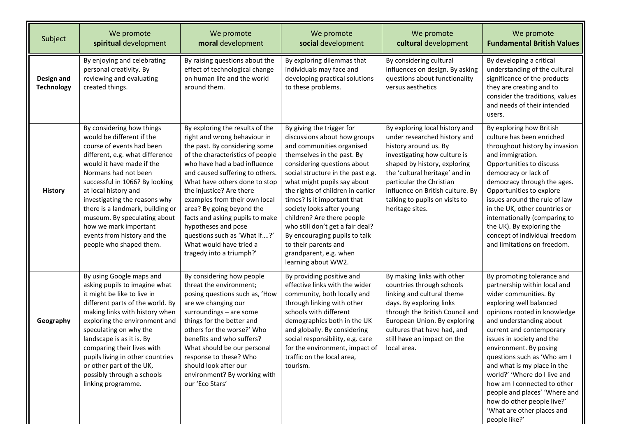| Subject                         | We promote<br>spiritual development                                                                                                                                                                                                                                                                                                                                                                                           | We promote<br>moral development                                                                                                                                                                                                                                                                                                                                                                                                                                                     | We promote<br>social development                                                                                                                                                                                                                                                                                                                                                                                                                                                                     | We promote<br>cultural development                                                                                                                                                                                                                                                                             | We promote<br><b>Fundamental British Values</b>                                                                                                                                                                                                                                                                                                                                                                                                                                                         |
|---------------------------------|-------------------------------------------------------------------------------------------------------------------------------------------------------------------------------------------------------------------------------------------------------------------------------------------------------------------------------------------------------------------------------------------------------------------------------|-------------------------------------------------------------------------------------------------------------------------------------------------------------------------------------------------------------------------------------------------------------------------------------------------------------------------------------------------------------------------------------------------------------------------------------------------------------------------------------|------------------------------------------------------------------------------------------------------------------------------------------------------------------------------------------------------------------------------------------------------------------------------------------------------------------------------------------------------------------------------------------------------------------------------------------------------------------------------------------------------|----------------------------------------------------------------------------------------------------------------------------------------------------------------------------------------------------------------------------------------------------------------------------------------------------------------|---------------------------------------------------------------------------------------------------------------------------------------------------------------------------------------------------------------------------------------------------------------------------------------------------------------------------------------------------------------------------------------------------------------------------------------------------------------------------------------------------------|
| Design and<br><b>Technology</b> | By enjoying and celebrating<br>personal creativity. By<br>reviewing and evaluating<br>created things.                                                                                                                                                                                                                                                                                                                         | By raising questions about the<br>effect of technological change<br>on human life and the world<br>around them.                                                                                                                                                                                                                                                                                                                                                                     | By exploring dilemmas that<br>individuals may face and<br>developing practical solutions<br>to these problems.                                                                                                                                                                                                                                                                                                                                                                                       | By considering cultural<br>influences on design. By asking<br>questions about functionality<br>versus aesthetics                                                                                                                                                                                               | By developing a critical<br>understanding of the cultural<br>significance of the products<br>they are creating and to<br>consider the traditions, values<br>and needs of their intended<br>users.                                                                                                                                                                                                                                                                                                       |
| <b>History</b>                  | By considering how things<br>would be different if the<br>course of events had been<br>different, e.g. what difference<br>would it have made if the<br>Normans had not been<br>successful in 1066? By looking<br>at local history and<br>investigating the reasons why<br>there is a landmark, building or<br>museum. By speculating about<br>how we mark important<br>events from history and the<br>people who shaped them. | By exploring the results of the<br>right and wrong behaviour in<br>the past. By considering some<br>of the characteristics of people<br>who have had a bad influence<br>and caused suffering to others.<br>What have others done to stop<br>the injustice? Are there<br>examples from their own local<br>area? By going beyond the<br>facts and asking pupils to make<br>hypotheses and pose<br>questions such as 'What if?'<br>What would have tried a<br>tragedy into a triumph?' | By giving the trigger for<br>discussions about how groups<br>and communities organised<br>themselves in the past. By<br>considering questions about<br>social structure in the past e.g.<br>what might pupils say about<br>the rights of children in earlier<br>times? Is it important that<br>society looks after young<br>children? Are there people<br>who still don't get a fair deal?<br>By encouraging pupils to talk<br>to their parents and<br>grandparent, e.g. when<br>learning about WW2. | By exploring local history and<br>under researched history and<br>history around us. By<br>investigating how culture is<br>shaped by history, exploring<br>the 'cultural heritage' and in<br>particular the Christian<br>influence on British culture. By<br>talking to pupils on visits to<br>heritage sites. | By exploring how British<br>culture has been enriched<br>throughout history by invasion<br>and immigration.<br>Opportunities to discuss<br>democracy or lack of<br>democracy through the ages.<br>Opportunities to explore<br>issues around the rule of law<br>in the UK, other countries or<br>internationally (comparing to<br>the UK). By exploring the<br>concept of individual freedom<br>and limitations on freedom.                                                                              |
| Geography                       | By using Google maps and<br>asking pupils to imagine what<br>it might be like to live in<br>different parts of the world. By<br>making links with history when<br>exploring the environment and<br>speculating on why the<br>landscape is as it is. By<br>comparing their lives with<br>pupils living in other countries<br>or other part of the UK,<br>possibly through a schools<br>linking programme.                      | By considering how people<br>threat the environment;<br>posing questions such as, 'How<br>are we changing our<br>surroundings - are some<br>things for the better and<br>others for the worse?' Who<br>benefits and who suffers?<br>What should be our personal<br>response to these? Who<br>should look after our<br>environment? By working with<br>our 'Eco Stars'                                                                                                               | By providing positive and<br>effective links with the wider<br>community, both locally and<br>through linking with other<br>schools with different<br>demographics both in the UK<br>and globally. By considering<br>social responsibility, e.g. care<br>for the environment, impact of<br>traffic on the local area,<br>tourism.                                                                                                                                                                    | By making links with other<br>countries through schools<br>linking and cultural theme<br>days. By exploring links<br>through the British Council and<br>European Union. By exploring<br>cultures that have had, and<br>still have an impact on the<br>local area.                                              | By promoting tolerance and<br>partnership within local and<br>wider communities. By<br>exploring well balanced<br>opinions rooted in knowledge<br>and understanding about<br>current and contemporary<br>issues in society and the<br>environment. By posing<br>questions such as 'Who am I<br>and what is my place in the<br>world?' 'Where do I live and<br>how am I connected to other<br>people and places' 'Where and<br>how do other people live?'<br>'What are other places and<br>people like?' |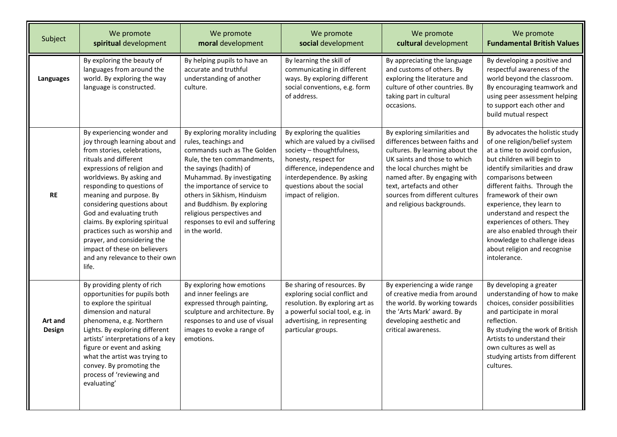| Subject           | We promote<br>spiritual development                                                                                                                                                                                                                                                                                                                                                                                                                                               | We promote<br>moral development                                                                                                                                                                                                                                                                                                                               | We promote<br>social development                                                                                                                                                                                                      | We promote<br>cultural development                                                                                                                                                                                                                                                               | We promote<br><b>Fundamental British Values</b>                                                                                                                                                                                                                                                                                                                                                                                                                 |
|-------------------|-----------------------------------------------------------------------------------------------------------------------------------------------------------------------------------------------------------------------------------------------------------------------------------------------------------------------------------------------------------------------------------------------------------------------------------------------------------------------------------|---------------------------------------------------------------------------------------------------------------------------------------------------------------------------------------------------------------------------------------------------------------------------------------------------------------------------------------------------------------|---------------------------------------------------------------------------------------------------------------------------------------------------------------------------------------------------------------------------------------|--------------------------------------------------------------------------------------------------------------------------------------------------------------------------------------------------------------------------------------------------------------------------------------------------|-----------------------------------------------------------------------------------------------------------------------------------------------------------------------------------------------------------------------------------------------------------------------------------------------------------------------------------------------------------------------------------------------------------------------------------------------------------------|
| <b>Languages</b>  | By exploring the beauty of<br>languages from around the<br>world. By exploring the way<br>language is constructed.                                                                                                                                                                                                                                                                                                                                                                | By helping pupils to have an<br>accurate and truthful<br>understanding of another<br>culture.                                                                                                                                                                                                                                                                 | By learning the skill of<br>communicating in different<br>ways. By exploring different<br>social conventions, e.g. form<br>of address.                                                                                                | By appreciating the language<br>and customs of others. By<br>exploring the literature and<br>culture of other countries. By<br>taking part in cultural<br>occasions.                                                                                                                             | By developing a positive and<br>respectful awareness of the<br>world beyond the classroom.<br>By encouraging teamwork and<br>using peer assessment helping<br>to support each other and<br>build mutual respect                                                                                                                                                                                                                                                 |
| RE                | By experiencing wonder and<br>joy through learning about and<br>from stories, celebrations,<br>rituals and different<br>expressions of religion and<br>worldviews. By asking and<br>responding to questions of<br>meaning and purpose. By<br>considering questions about<br>God and evaluating truth<br>claims. By exploring spiritual<br>practices such as worship and<br>prayer, and considering the<br>impact of these on believers<br>and any relevance to their own<br>life. | By exploring morality including<br>rules, teachings and<br>commands such as The Golden<br>Rule, the ten commandments,<br>the sayings (hadith) of<br>Muhammad. By investigating<br>the importance of service to<br>others in Sikhism, Hinduism<br>and Buddhism. By exploring<br>religious perspectives and<br>responses to evil and suffering<br>in the world. | By exploring the qualities<br>which are valued by a civilised<br>society - thoughtfulness,<br>honesty, respect for<br>difference, independence and<br>interdependence. By asking<br>questions about the social<br>impact of religion. | By exploring similarities and<br>differences between faiths and<br>cultures. By learning about the<br>UK saints and those to which<br>the local churches might be<br>named after. By engaging with<br>text, artefacts and other<br>sources from different cultures<br>and religious backgrounds. | By advocates the holistic study<br>of one religion/belief system<br>at a time to avoid confusion,<br>but children will begin to<br>identify similarities and draw<br>comparisons between<br>different faiths. Through the<br>framework of their own<br>experience, they learn to<br>understand and respect the<br>experiences of others. They<br>are also enabled through their<br>knowledge to challenge ideas<br>about religion and recognise<br>intolerance. |
| Art and<br>Design | By providing plenty of rich<br>opportunities for pupils both<br>to explore the spiritual<br>dimension and natural<br>phenomena, e.g. Northern<br>Lights. By exploring different<br>artists' interpretations of a key<br>figure or event and asking<br>what the artist was trying to<br>convey. By promoting the<br>process of 'reviewing and<br>evaluating'                                                                                                                       | By exploring how emotions<br>and inner feelings are<br>expressed through painting,<br>sculpture and architecture. By<br>responses to and use of visual<br>images to evoke a range of<br>emotions.                                                                                                                                                             | Be sharing of resources. By<br>exploring social conflict and<br>resolution. By exploring art as<br>a powerful social tool, e.g. in<br>advertising, in representing<br>particular groups.                                              | By experiencing a wide range<br>of creative media from around<br>the world. By working towards<br>the 'Arts Mark' award. By<br>developing aesthetic and<br>critical awareness.                                                                                                                   | By developing a greater<br>understanding of how to make<br>choices, consider possibilities<br>and participate in moral<br>reflection.<br>By studying the work of British<br>Artists to understand their<br>own cultures as well as<br>studying artists from different<br>cultures.                                                                                                                                                                              |